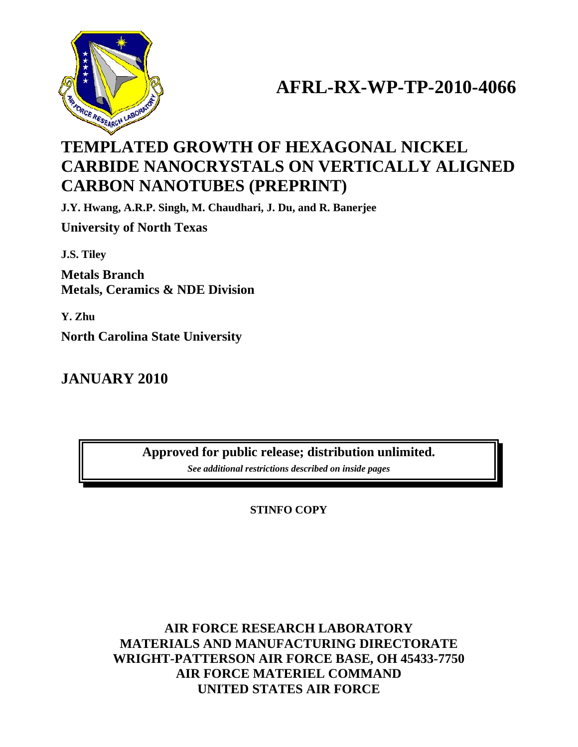

# **AFRL-RX-WP-TP-2010-4066**

## **TEMPLATED GROWTH OF HEXAGONAL NICKEL CARBIDE NANOCRYSTALS ON VERTICALLY ALIGNED CARBON NANOTUBES (PREPRINT)**

**J.Y. Hwang, A.R.P. Singh, M. Chaudhari, J. Du, and R. Banerjee** 

**University of North Texas** 

**J.S. Tiley** 

**Metals Branch Metals, Ceramics & NDE Division** 

**Y. Zhu** 

**North Carolina State University** 

### **JANUARY 2010**

**Approved for public release; distribution unlimited.**  *See additional restrictions described on inside pages*

**STINFO COPY** 

### **AIR FORCE RESEARCH LABORATORY MATERIALS AND MANUFACTURING DIRECTORATE WRIGHT-PATTERSON AIR FORCE BASE, OH 45433-7750 AIR FORCE MATERIEL COMMAND UNITED STATES AIR FORCE**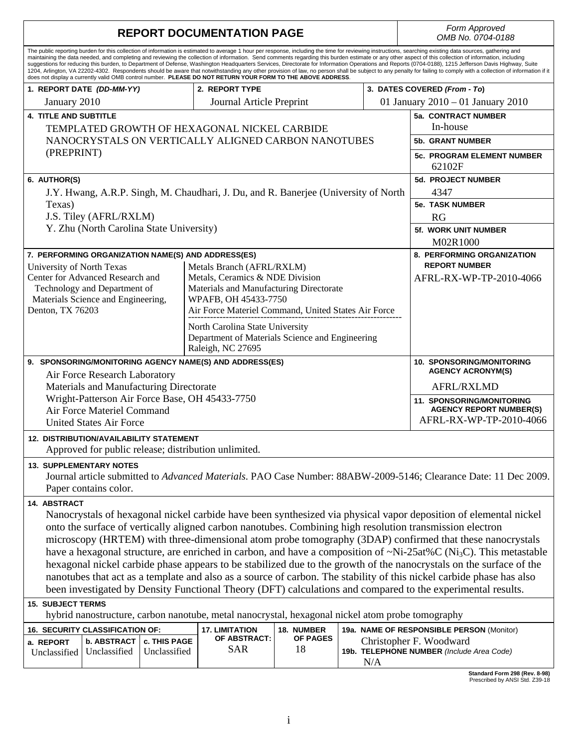| <b>REPORT DOCUMENTATION PAGE</b>                                                                                                                                                                                                                                                                                                                                                                                                                                                                                                                                                                                                                                                                                                                                                                                                                                                                                                                                   |                         |                                                                            |                        |                            |                         | Form Approved<br>OMB No. 0704-0188                           |  |  |  |
|--------------------------------------------------------------------------------------------------------------------------------------------------------------------------------------------------------------------------------------------------------------------------------------------------------------------------------------------------------------------------------------------------------------------------------------------------------------------------------------------------------------------------------------------------------------------------------------------------------------------------------------------------------------------------------------------------------------------------------------------------------------------------------------------------------------------------------------------------------------------------------------------------------------------------------------------------------------------|-------------------------|----------------------------------------------------------------------------|------------------------|----------------------------|-------------------------|--------------------------------------------------------------|--|--|--|
| The public reporting burden for this collection of information is estimated to average 1 hour per response, including the time for reviewing instructions, searching existing data sources, gathering and<br>maintaining the data needed, and completing and reviewing the collection of information. Send comments regarding this burden estimate or any other aspect of this collection of information, including<br>suggestions for reducing this burden, to Department of Defense, Washington Headquarters Services, Directorate for Information Operations and Reports (0704-0188), 1215 Jefferson Davis Highway, Suite<br>1204, Arlington, VA 22202-4302. Respondents should be aware that notwithstanding any other provision of law, no person shall be subject to any penalty for failing to comply with a collection of information if it<br>does not display a currently valid OMB control number. PLEASE DO NOT RETURN YOUR FORM TO THE ABOVE ADDRESS. |                         |                                                                            |                        |                            |                         |                                                              |  |  |  |
| 1. REPORT DATE (DD-MM-YY)                                                                                                                                                                                                                                                                                                                                                                                                                                                                                                                                                                                                                                                                                                                                                                                                                                                                                                                                          |                         | 2. REPORT TYPE                                                             |                        |                            |                         | 3. DATES COVERED (From - To)                                 |  |  |  |
| January 2010                                                                                                                                                                                                                                                                                                                                                                                                                                                                                                                                                                                                                                                                                                                                                                                                                                                                                                                                                       |                         | Journal Article Preprint                                                   |                        |                            |                         | 01 January 2010 – 01 January 2010                            |  |  |  |
| <b>4. TITLE AND SUBTITLE</b>                                                                                                                                                                                                                                                                                                                                                                                                                                                                                                                                                                                                                                                                                                                                                                                                                                                                                                                                       |                         |                                                                            |                        | <b>5a. CONTRACT NUMBER</b> |                         |                                                              |  |  |  |
| TEMPLATED GROWTH OF HEXAGONAL NICKEL CARBIDE                                                                                                                                                                                                                                                                                                                                                                                                                                                                                                                                                                                                                                                                                                                                                                                                                                                                                                                       | In-house                |                                                                            |                        |                            |                         |                                                              |  |  |  |
| NANOCRYSTALS ON VERTICALLY ALIGNED CARBON NANOTUBES                                                                                                                                                                                                                                                                                                                                                                                                                                                                                                                                                                                                                                                                                                                                                                                                                                                                                                                | <b>5b. GRANT NUMBER</b> |                                                                            |                        |                            |                         |                                                              |  |  |  |
| (PREPRINT)                                                                                                                                                                                                                                                                                                                                                                                                                                                                                                                                                                                                                                                                                                                                                                                                                                                                                                                                                         |                         |                                                                            |                        |                            |                         | <b>5c. PROGRAM ELEMENT NUMBER</b><br>62102F                  |  |  |  |
| 6. AUTHOR(S)                                                                                                                                                                                                                                                                                                                                                                                                                                                                                                                                                                                                                                                                                                                                                                                                                                                                                                                                                       |                         |                                                                            |                        |                            |                         | <b>5d. PROJECT NUMBER</b>                                    |  |  |  |
| J.Y. Hwang, A.R.P. Singh, M. Chaudhari, J. Du, and R. Banerjee (University of North                                                                                                                                                                                                                                                                                                                                                                                                                                                                                                                                                                                                                                                                                                                                                                                                                                                                                |                         |                                                                            |                        |                            |                         | 4347                                                         |  |  |  |
| Texas)                                                                                                                                                                                                                                                                                                                                                                                                                                                                                                                                                                                                                                                                                                                                                                                                                                                                                                                                                             |                         |                                                                            |                        |                            |                         | <b>5e. TASK NUMBER</b>                                       |  |  |  |
| J.S. Tiley (AFRL/RXLM)                                                                                                                                                                                                                                                                                                                                                                                                                                                                                                                                                                                                                                                                                                                                                                                                                                                                                                                                             |                         |                                                                            |                        |                            |                         | RG                                                           |  |  |  |
| Y. Zhu (North Carolina State University)                                                                                                                                                                                                                                                                                                                                                                                                                                                                                                                                                                                                                                                                                                                                                                                                                                                                                                                           |                         |                                                                            |                        |                            |                         | <b>5f. WORK UNIT NUMBER</b>                                  |  |  |  |
|                                                                                                                                                                                                                                                                                                                                                                                                                                                                                                                                                                                                                                                                                                                                                                                                                                                                                                                                                                    |                         |                                                                            |                        |                            |                         | M02R1000                                                     |  |  |  |
| 7. PERFORMING ORGANIZATION NAME(S) AND ADDRESS(ES)                                                                                                                                                                                                                                                                                                                                                                                                                                                                                                                                                                                                                                                                                                                                                                                                                                                                                                                 |                         |                                                                            |                        |                            |                         | 8. PERFORMING ORGANIZATION                                   |  |  |  |
| University of North Texas                                                                                                                                                                                                                                                                                                                                                                                                                                                                                                                                                                                                                                                                                                                                                                                                                                                                                                                                          |                         | Metals Branch (AFRL/RXLM)                                                  |                        |                            |                         | <b>REPORT NUMBER</b>                                         |  |  |  |
| Center for Advanced Research and<br>Technology and Department of                                                                                                                                                                                                                                                                                                                                                                                                                                                                                                                                                                                                                                                                                                                                                                                                                                                                                                   |                         | Metals, Ceramics & NDE Division<br>Materials and Manufacturing Directorate |                        |                            |                         | AFRL-RX-WP-TP-2010-4066                                      |  |  |  |
| Materials Science and Engineering,                                                                                                                                                                                                                                                                                                                                                                                                                                                                                                                                                                                                                                                                                                                                                                                                                                                                                                                                 |                         | WPAFB, OH 45433-7750                                                       |                        |                            |                         |                                                              |  |  |  |
| Denton, TX 76203                                                                                                                                                                                                                                                                                                                                                                                                                                                                                                                                                                                                                                                                                                                                                                                                                                                                                                                                                   |                         | Air Force Materiel Command, United States Air Force                        |                        |                            |                         |                                                              |  |  |  |
| North Carolina State University<br>Department of Materials Science and Engineering                                                                                                                                                                                                                                                                                                                                                                                                                                                                                                                                                                                                                                                                                                                                                                                                                                                                                 |                         |                                                                            |                        |                            |                         |                                                              |  |  |  |
|                                                                                                                                                                                                                                                                                                                                                                                                                                                                                                                                                                                                                                                                                                                                                                                                                                                                                                                                                                    |                         | Raleigh, NC 27695                                                          |                        |                            |                         |                                                              |  |  |  |
| 9. SPONSORING/MONITORING AGENCY NAME(S) AND ADDRESS(ES)                                                                                                                                                                                                                                                                                                                                                                                                                                                                                                                                                                                                                                                                                                                                                                                                                                                                                                            |                         |                                                                            |                        |                            |                         | <b>10. SPONSORING/MONITORING</b><br><b>AGENCY ACRONYM(S)</b> |  |  |  |
| Air Force Research Laboratory<br>Materials and Manufacturing Directorate                                                                                                                                                                                                                                                                                                                                                                                                                                                                                                                                                                                                                                                                                                                                                                                                                                                                                           |                         |                                                                            |                        |                            | <b>AFRL/RXLMD</b>       |                                                              |  |  |  |
| Wright-Patterson Air Force Base, OH 45433-7750                                                                                                                                                                                                                                                                                                                                                                                                                                                                                                                                                                                                                                                                                                                                                                                                                                                                                                                     |                         |                                                                            |                        |                            |                         | <b>11. SPONSORING/MONITORING</b>                             |  |  |  |
| Air Force Materiel Command                                                                                                                                                                                                                                                                                                                                                                                                                                                                                                                                                                                                                                                                                                                                                                                                                                                                                                                                         |                         |                                                                            |                        |                            |                         | <b>AGENCY REPORT NUMBER(S)</b>                               |  |  |  |
| <b>United States Air Force</b>                                                                                                                                                                                                                                                                                                                                                                                                                                                                                                                                                                                                                                                                                                                                                                                                                                                                                                                                     |                         |                                                                            |                        |                            | AFRL-RX-WP-TP-2010-4066 |                                                              |  |  |  |
| <b>12. DISTRIBUTION/AVAILABILITY STATEMENT</b><br>Approved for public release; distribution unlimited.                                                                                                                                                                                                                                                                                                                                                                                                                                                                                                                                                                                                                                                                                                                                                                                                                                                             |                         |                                                                            |                        |                            |                         |                                                              |  |  |  |
| <b>13. SUPPLEMENTARY NOTES</b>                                                                                                                                                                                                                                                                                                                                                                                                                                                                                                                                                                                                                                                                                                                                                                                                                                                                                                                                     |                         |                                                                            |                        |                            |                         |                                                              |  |  |  |
| Journal article submitted to Advanced Materials. PAO Case Number: 88ABW-2009-5146; Clearance Date: 11 Dec 2009.<br>Paper contains color.                                                                                                                                                                                                                                                                                                                                                                                                                                                                                                                                                                                                                                                                                                                                                                                                                           |                         |                                                                            |                        |                            |                         |                                                              |  |  |  |
| 14. ABSTRACT                                                                                                                                                                                                                                                                                                                                                                                                                                                                                                                                                                                                                                                                                                                                                                                                                                                                                                                                                       |                         |                                                                            |                        |                            |                         |                                                              |  |  |  |
| Nanocrystals of hexagonal nickel carbide have been synthesized via physical vapor deposition of elemental nickel                                                                                                                                                                                                                                                                                                                                                                                                                                                                                                                                                                                                                                                                                                                                                                                                                                                   |                         |                                                                            |                        |                            |                         |                                                              |  |  |  |
| onto the surface of vertically aligned carbon nanotubes. Combining high resolution transmission electron                                                                                                                                                                                                                                                                                                                                                                                                                                                                                                                                                                                                                                                                                                                                                                                                                                                           |                         |                                                                            |                        |                            |                         |                                                              |  |  |  |
| microscopy (HRTEM) with three-dimensional atom probe tomography (3DAP) confirmed that these nanocrystals                                                                                                                                                                                                                                                                                                                                                                                                                                                                                                                                                                                                                                                                                                                                                                                                                                                           |                         |                                                                            |                        |                            |                         |                                                              |  |  |  |
| have a hexagonal structure, are enriched in carbon, and have a composition of $\sim Ni-25at\%C (Ni3C)$ . This metastable                                                                                                                                                                                                                                                                                                                                                                                                                                                                                                                                                                                                                                                                                                                                                                                                                                           |                         |                                                                            |                        |                            |                         |                                                              |  |  |  |
| hexagonal nickel carbide phase appears to be stabilized due to the growth of the nanocrystals on the surface of the                                                                                                                                                                                                                                                                                                                                                                                                                                                                                                                                                                                                                                                                                                                                                                                                                                                |                         |                                                                            |                        |                            |                         |                                                              |  |  |  |
| nanotubes that act as a template and also as a source of carbon. The stability of this nickel carbide phase has also                                                                                                                                                                                                                                                                                                                                                                                                                                                                                                                                                                                                                                                                                                                                                                                                                                               |                         |                                                                            |                        |                            |                         |                                                              |  |  |  |
| been investigated by Density Functional Theory (DFT) calculations and compared to the experimental results.                                                                                                                                                                                                                                                                                                                                                                                                                                                                                                                                                                                                                                                                                                                                                                                                                                                        |                         |                                                                            |                        |                            |                         |                                                              |  |  |  |
| <b>15. SUBJECT TERMS</b><br>hybrid nanostructure, carbon nanotube, metal nanocrystal, hexagonal nickel atom probe tomography                                                                                                                                                                                                                                                                                                                                                                                                                                                                                                                                                                                                                                                                                                                                                                                                                                       |                         |                                                                            |                        |                            |                         |                                                              |  |  |  |
|                                                                                                                                                                                                                                                                                                                                                                                                                                                                                                                                                                                                                                                                                                                                                                                                                                                                                                                                                                    |                         |                                                                            |                        |                            |                         |                                                              |  |  |  |
| 16. SECURITY CLASSIFICATION OF:                                                                                                                                                                                                                                                                                                                                                                                                                                                                                                                                                                                                                                                                                                                                                                                                                                                                                                                                    |                         | <b>17. LIMITATION</b><br>OF ABSTRACT:                                      | 18. NUMBER<br>OF PAGES |                            |                         | 19a. NAME OF RESPONSIBLE PERSON (Monitor)                    |  |  |  |
| <b>b. ABSTRACT</b><br>c. THIS PAGE<br>Christopher F. Woodward<br>a. REPORT<br><b>SAR</b><br>18<br>19b. TELEPHONE NUMBER (Include Area Code)<br>Unclassified<br>Unclassified<br>Unclassified                                                                                                                                                                                                                                                                                                                                                                                                                                                                                                                                                                                                                                                                                                                                                                        |                         |                                                                            |                        |                            |                         |                                                              |  |  |  |
|                                                                                                                                                                                                                                                                                                                                                                                                                                                                                                                                                                                                                                                                                                                                                                                                                                                                                                                                                                    |                         |                                                                            |                        |                            | N/A                     |                                                              |  |  |  |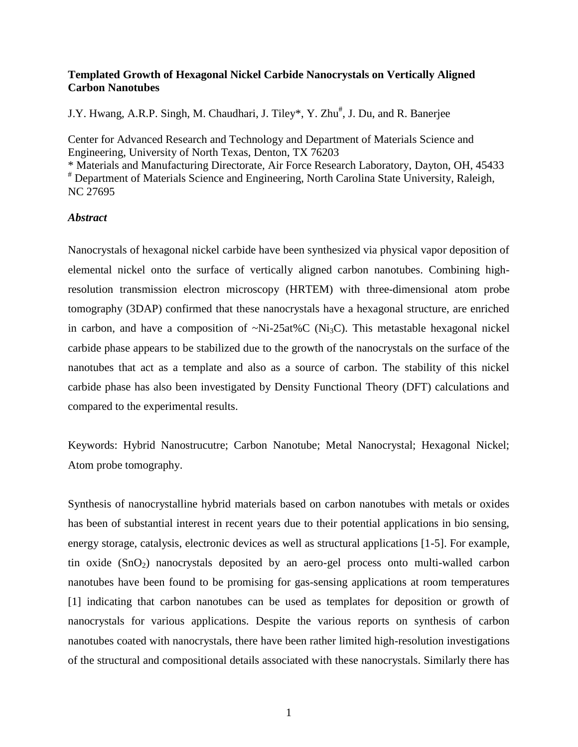#### **Templated Growth of Hexagonal Nickel Carbide Nanocrystals on Vertically Aligned Carbon Nanotubes**

J.Y. Hwang, A.R.P. Singh, M. Chaudhari, J. Tiley\*, Y. Zhu<sup>#</sup>, J. Du, and R. Banerjee

Center for Advanced Research and Technology and Department of Materials Science and Engineering, University of North Texas, Denton, TX 76203

\* Materials and Manufacturing Directorate, Air Force Research Laboratory, Dayton, OH, 45433 # Department of Materials Science and Engineering, North Carolina State University, Raleigh, NC 27695

#### *Abstract*

Nanocrystals of hexagonal nickel carbide have been synthesized via physical vapor deposition of elemental nickel onto the surface of vertically aligned carbon nanotubes. Combining highresolution transmission electron microscopy (HRTEM) with three-dimensional atom probe tomography (3DAP) confirmed that these nanocrystals have a hexagonal structure, are enriched in carbon, and have a composition of  $\sim$ Ni-25at%C (Ni<sub>3</sub>C). This metastable hexagonal nickel carbide phase appears to be stabilized due to the growth of the nanocrystals on the surface of the nanotubes that act as a template and also as a source of carbon. The stability of this nickel carbide phase has also been investigated by Density Functional Theory (DFT) calculations and compared to the experimental results.

Keywords: Hybrid Nanostrucutre; Carbon Nanotube; Metal Nanocrystal; Hexagonal Nickel; Atom probe tomography.

Synthesis of nanocrystalline hybrid materials based on carbon nanotubes with metals or oxides has been of substantial interest in recent years due to their potential applications in bio sensing, energy storage, catalysis, electronic devices as well as structural applications [1-5]. For example, tin oxide  $(SnO<sub>2</sub>)$  nanocrystals deposited by an aero-gel process onto multi-walled carbon nanotubes have been found to be promising for gas-sensing applications at room temperatures [1] indicating that carbon nanotubes can be used as templates for deposition or growth of nanocrystals for various applications. Despite the various reports on synthesis of carbon nanotubes coated with nanocrystals, there have been rather limited high-resolution investigations of the structural and compositional details associated with these nanocrystals. Similarly there has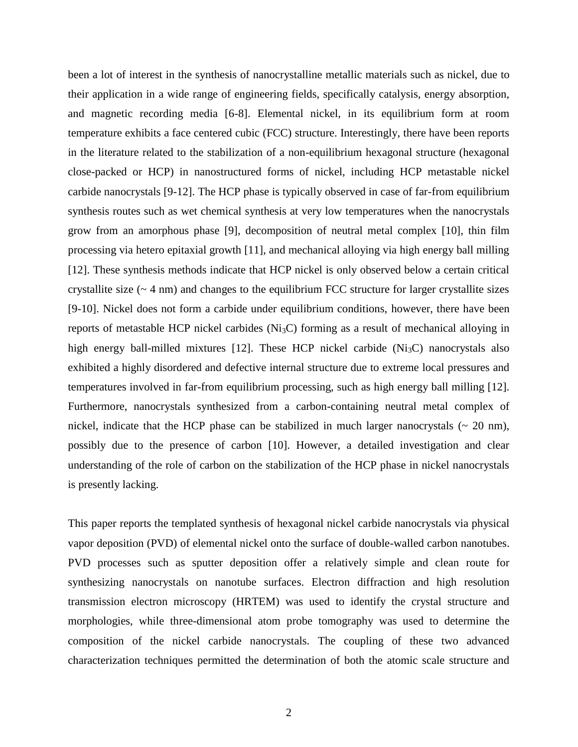been a lot of interest in the synthesis of nanocrystalline metallic materials such as nickel, due to their application in a wide range of engineering fields, specifically catalysis, energy absorption, and magnetic recording media [6-8]. Elemental nickel, in its equilibrium form at room temperature exhibits a face centered cubic (FCC) structure. Interestingly, there have been reports in the literature related to the stabilization of a non-equilibrium hexagonal structure (hexagonal close-packed or HCP) in nanostructured forms of nickel, including HCP metastable nickel carbide nanocrystals [9-12]. The HCP phase is typically observed in case of far-from equilibrium synthesis routes such as wet chemical synthesis at very low temperatures when the nanocrystals grow from an amorphous phase [9], decomposition of neutral metal complex [10], thin film processing via hetero epitaxial growth [11], and mechanical alloying via high energy ball milling [12]. These synthesis methods indicate that HCP nickel is only observed below a certain critical crystallite size  $(-4 \text{ nm})$  and changes to the equilibrium FCC structure for larger crystallite sizes [9-10]. Nickel does not form a carbide under equilibrium conditions, however, there have been reports of metastable HCP nickel carbides (Ni3C) forming as a result of mechanical alloying in high energy ball-milled mixtures [12]. These HCP nickel carbide  $(Ni<sub>3</sub>C)$  nanocrystals also exhibited a highly disordered and defective internal structure due to extreme local pressures and temperatures involved in far-from equilibrium processing, such as high energy ball milling [12]. Furthermore, nanocrystals synthesized from a carbon-containing neutral metal complex of nickel, indicate that the HCP phase can be stabilized in much larger nanocrystals  $\sim$  20 nm), possibly due to the presence of carbon [10]. However, a detailed investigation and clear understanding of the role of carbon on the stabilization of the HCP phase in nickel nanocrystals is presently lacking.

This paper reports the templated synthesis of hexagonal nickel carbide nanocrystals via physical vapor deposition (PVD) of elemental nickel onto the surface of double-walled carbon nanotubes. PVD processes such as sputter deposition offer a relatively simple and clean route for synthesizing nanocrystals on nanotube surfaces. Electron diffraction and high resolution transmission electron microscopy (HRTEM) was used to identify the crystal structure and morphologies, while three-dimensional atom probe tomography was used to determine the composition of the nickel carbide nanocrystals. The coupling of these two advanced characterization techniques permitted the determination of both the atomic scale structure and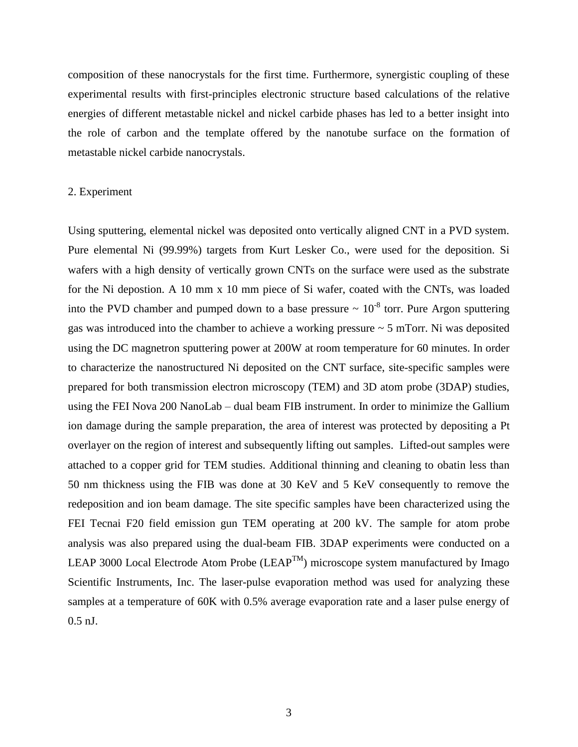composition of these nanocrystals for the first time. Furthermore, synergistic coupling of these experimental results with first-principles electronic structure based calculations of the relative energies of different metastable nickel and nickel carbide phases has led to a better insight into the role of carbon and the template offered by the nanotube surface on the formation of metastable nickel carbide nanocrystals.

#### 2. Experiment

Using sputtering, elemental nickel was deposited onto vertically aligned CNT in a PVD system. Pure elemental Ni (99.99%) targets from Kurt Lesker Co., were used for the deposition. Si wafers with a high density of vertically grown CNTs on the surface were used as the substrate for the Ni depostion. A 10 mm x 10 mm piece of Si wafer, coated with the CNTs, was loaded into the PVD chamber and pumped down to a base pressure  $\sim 10^{-8}$  torr. Pure Argon sputtering gas was introduced into the chamber to achieve a working pressure ~ 5 mTorr. Ni was deposited using the DC magnetron sputtering power at 200W at room temperature for 60 minutes. In order to characterize the nanostructured Ni deposited on the CNT surface, site-specific samples were prepared for both transmission electron microscopy (TEM) and 3D atom probe (3DAP) studies, using the FEI Nova 200 NanoLab – dual beam FIB instrument. In order to minimize the Gallium ion damage during the sample preparation, the area of interest was protected by depositing a Pt overlayer on the region of interest and subsequently lifting out samples. Lifted-out samples were attached to a copper grid for TEM studies. Additional thinning and cleaning to obatin less than 50 nm thickness using the FIB was done at 30 KeV and 5 KeV consequently to remove the redeposition and ion beam damage. The site specific samples have been characterized using the FEI Tecnai F20 field emission gun TEM operating at 200 kV. The sample for atom probe analysis was also prepared using the dual-beam FIB. 3DAP experiments were conducted on a LEAP 3000 Local Electrode Atom Probe (LEAP<sup>TM</sup>) microscope system manufactured by Imago Scientific Instruments, Inc. The laser-pulse evaporation method was used for analyzing these samples at a temperature of 60K with 0.5% average evaporation rate and a laser pulse energy of 0.5 nJ.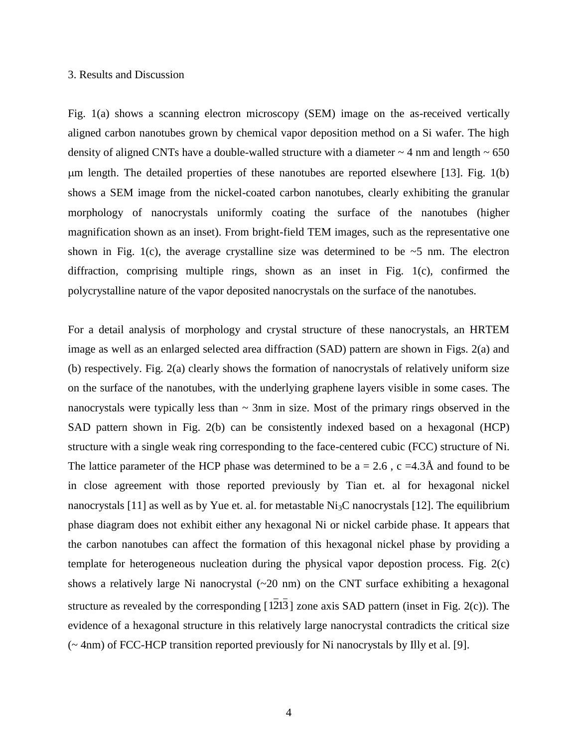#### 3. Results and Discussion

Fig. 1(a) shows a scanning electron microscopy (SEM) image on the as-received vertically aligned carbon nanotubes grown by chemical vapor deposition method on a Si wafer. The high density of aligned CNTs have a double-walled structure with a diameter  $\sim$  4 nm and length  $\sim$  650 m length. The detailed properties of these nanotubes are reported elsewhere [13]. Fig. 1(b) shows a SEM image from the nickel-coated carbon nanotubes, clearly exhibiting the granular morphology of nanocrystals uniformly coating the surface of the nanotubes (higher magnification shown as an inset). From bright-field TEM images, such as the representative one shown in Fig. 1(c), the average crystalline size was determined to be  $\sim$  5 nm. The electron diffraction, comprising multiple rings, shown as an inset in Fig. 1(c), confirmed the polycrystalline nature of the vapor deposited nanocrystals on the surface of the nanotubes.

For a detail analysis of morphology and crystal structure of these nanocrystals, an HRTEM image as well as an enlarged selected area diffraction (SAD) pattern are shown in Figs. 2(a) and (b) respectively. Fig. 2(a) clearly shows the formation of nanocrystals of relatively uniform size on the surface of the nanotubes, with the underlying graphene layers visible in some cases. The nanocrystals were typically less than  $\sim$  3nm in size. Most of the primary rings observed in the SAD pattern shown in Fig. 2(b) can be consistently indexed based on a hexagonal (HCP) structure with a single weak ring corresponding to the face-centered cubic (FCC) structure of Ni. The lattice parameter of the HCP phase was determined to be  $a = 2.6$ ,  $c = 4.3\text{\AA}$  and found to be in close agreement with those reported previously by Tian et. al for hexagonal nickel nanocrystals [11] as well as by Yue et. al. for metastable  $\text{Ni}_3\text{C}$  nanocrystals [12]. The equilibrium phase diagram does not exhibit either any hexagonal Ni or nickel carbide phase. It appears that the carbon nanotubes can affect the formation of this hexagonal nickel phase by providing a template for heterogeneous nucleation during the physical vapor depostion process. Fig. 2(c) shows a relatively large Ni nanocrystal  $(\sim 20 \text{ nm})$  on the CNT surface exhibiting a hexagonal structure as revealed by the corresponding [ 1213 ] zone axis SAD pattern (inset in Fig. 2(c)). The evidence of a hexagonal structure in this relatively large nanocrystal contradicts the critical size (~ 4nm) of FCC-HCP transition reported previously for Ni nanocrystals by Illy et al. [9].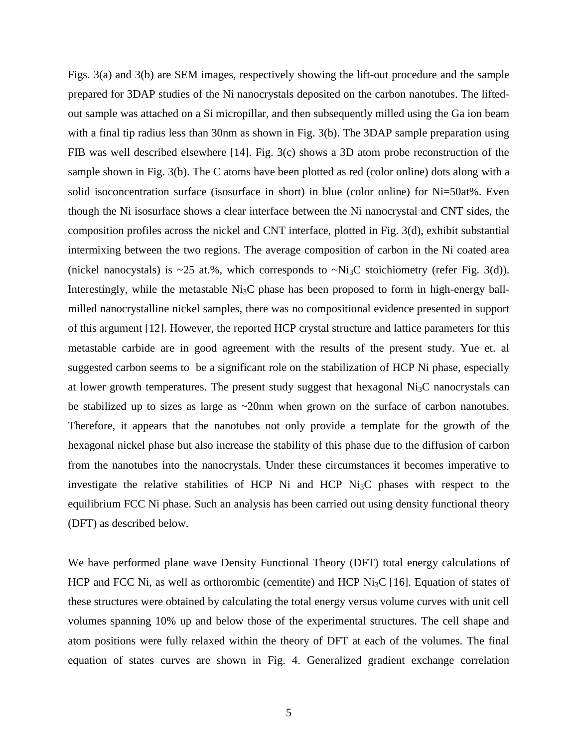Figs. 3(a) and 3(b) are SEM images, respectively showing the lift-out procedure and the sample prepared for 3DAP studies of the Ni nanocrystals deposited on the carbon nanotubes. The liftedout sample was attached on a Si micropillar, and then subsequently milled using the Ga ion beam with a final tip radius less than 30nm as shown in Fig. 3(b). The 3DAP sample preparation using FIB was well described elsewhere [14]. Fig. 3(c) shows a 3D atom probe reconstruction of the sample shown in Fig. 3(b). The C atoms have been plotted as red (color online) dots along with a solid isoconcentration surface (isosurface in short) in blue (color online) for Ni=50at%. Even though the Ni isosurface shows a clear interface between the Ni nanocrystal and CNT sides, the composition profiles across the nickel and CNT interface, plotted in Fig. 3(d), exhibit substantial intermixing between the two regions. The average composition of carbon in the Ni coated area (nickel nanocystals) is  $\sim$ 25 at.%, which corresponds to  $\sim$ Ni<sub>3</sub>C stoichiometry (refer Fig. 3(d)). Interestingly, while the metastable  $Ni<sub>3</sub>C$  phase has been proposed to form in high-energy ballmilled nanocrystalline nickel samples, there was no compositional evidence presented in support of this argument [12]. However, the reported HCP crystal structure and lattice parameters for this metastable carbide are in good agreement with the results of the present study. Yue et. al suggested carbon seems to be a significant role on the stabilization of HCP Ni phase, especially at lower growth temperatures. The present study suggest that hexagonal  $Ni<sub>3</sub>C$  nanocrystals can be stabilized up to sizes as large as ~20nm when grown on the surface of carbon nanotubes. Therefore, it appears that the nanotubes not only provide a template for the growth of the hexagonal nickel phase but also increase the stability of this phase due to the diffusion of carbon from the nanotubes into the nanocrystals. Under these circumstances it becomes imperative to investigate the relative stabilities of HCP Ni and HCP  $Ni<sub>3</sub>C$  phases with respect to the equilibrium FCC Ni phase. Such an analysis has been carried out using density functional theory (DFT) as described below.

We have performed plane wave Density Functional Theory (DFT) total energy calculations of HCP and FCC Ni, as well as orthorombic (cementite) and HCP Ni<sub>3</sub>C [16]. Equation of states of these structures were obtained by calculating the total energy versus volume curves with unit cell volumes spanning 10% up and below those of the experimental structures. The cell shape and atom positions were fully relaxed within the theory of DFT at each of the volumes. The final equation of states curves are shown in Fig. 4. Generalized gradient exchange correlation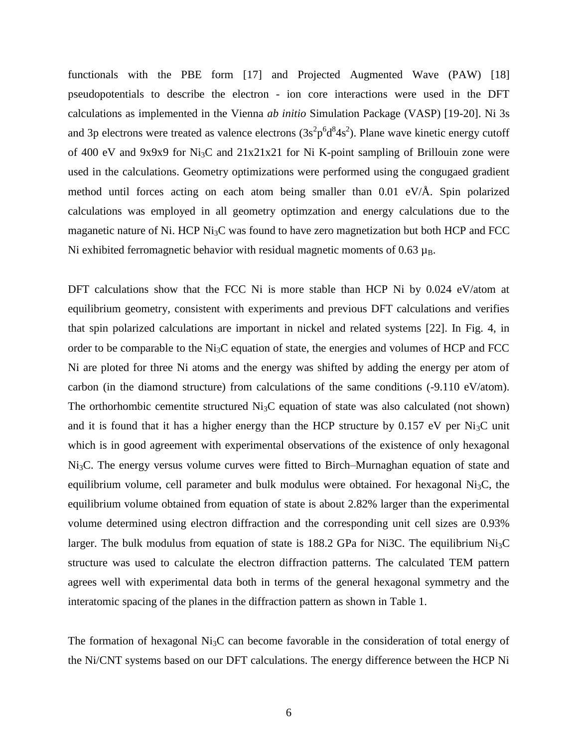functionals with the PBE form [17] and Projected Augmented Wave (PAW) [18] pseudopotentials to describe the electron - ion core interactions were used in the DFT calculations as implemented in the Vienna *ab initio* Simulation Package (VASP) [19-20]. Ni 3s and 3p electrons were treated as valence electrons  $(3s^2p^6d^84s^2)$ . Plane wave kinetic energy cutoff of 400 eV and 9x9x9 for  $Ni<sub>3</sub>C$  and  $21x21x21$  for Ni K-point sampling of Brillouin zone were used in the calculations. Geometry optimizations were performed using the congugaed gradient method until forces acting on each atom being smaller than 0.01 eV/Å. Spin polarized calculations was employed in all geometry optimzation and energy calculations due to the maganetic nature of Ni. HCP Ni<sub>3</sub>C was found to have zero magnetization but both HCP and FCC Ni exhibited ferromagnetic behavior with residual magnetic moments of  $0.63 \mu_B$ .

DFT calculations show that the FCC Ni is more stable than HCP Ni by 0.024 eV/atom at equilibrium geometry, consistent with experiments and previous DFT calculations and verifies that spin polarized calculations are important in nickel and related systems [22]. In Fig. 4, in order to be comparable to the Ni3C equation of state, the energies and volumes of HCP and FCC Ni are ploted for three Ni atoms and the energy was shifted by adding the energy per atom of carbon (in the diamond structure) from calculations of the same conditions (-9.110 eV/atom). The orthorhombic cementite structured  $Ni<sub>3</sub>C$  equation of state was also calculated (not shown) and it is found that it has a higher energy than the HCP structure by  $0.157$  eV per Ni<sub>3</sub>C unit which is in good agreement with experimental observations of the existence of only hexagonal Ni3C. The energy versus volume curves were fitted to Birch–Murnaghan equation of state and equilibrium volume, cell parameter and bulk modulus were obtained. For hexagonal  $Ni<sub>3</sub>C$ , the equilibrium volume obtained from equation of state is about 2.82% larger than the experimental volume determined using electron diffraction and the corresponding unit cell sizes are 0.93% larger. The bulk modulus from equation of state is 188.2 GPa for Ni3C. The equilibrium  $Ni<sub>3</sub>C$ structure was used to calculate the electron diffraction patterns. The calculated TEM pattern agrees well with experimental data both in terms of the general hexagonal symmetry and the interatomic spacing of the planes in the diffraction pattern as shown in Table 1.

The formation of hexagonal  $Ni<sub>3</sub>C$  can become favorable in the consideration of total energy of the Ni/CNT systems based on our DFT calculations. The energy difference between the HCP Ni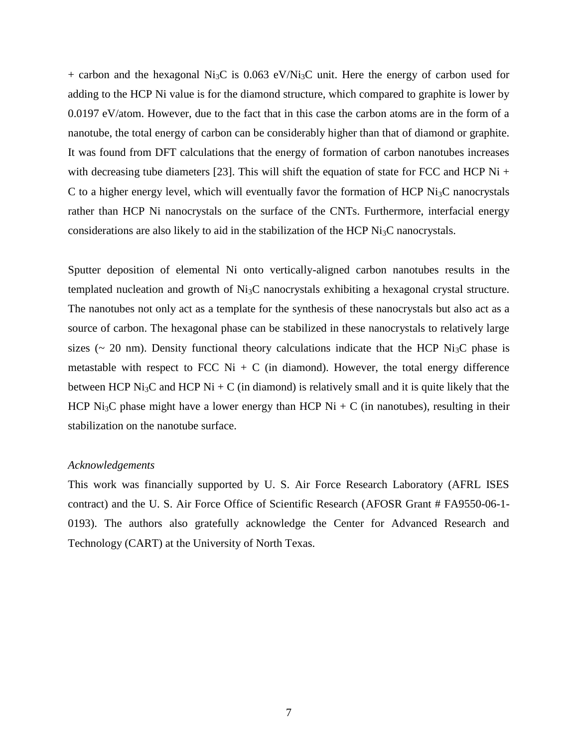+ carbon and the hexagonal Ni<sub>3</sub>C is 0.063 eV/Ni<sub>3</sub>C unit. Here the energy of carbon used for adding to the HCP Ni value is for the diamond structure, which compared to graphite is lower by 0.0197 eV/atom. However, due to the fact that in this case the carbon atoms are in the form of a nanotube, the total energy of carbon can be considerably higher than that of diamond or graphite. It was found from DFT calculations that the energy of formation of carbon nanotubes increases with decreasing tube diameters [23]. This will shift the equation of state for FCC and HCP Ni + C to a higher energy level, which will eventually favor the formation of HCP  $\rm Ni_{3}C$  nanocrystals rather than HCP Ni nanocrystals on the surface of the CNTs. Furthermore, interfacial energy considerations are also likely to aid in the stabilization of the HCP  $\mathrm{Ni}_{3}\mathrm{C}$  nanocrystals.

Sputter deposition of elemental Ni onto vertically-aligned carbon nanotubes results in the templated nucleation and growth of  $Ni<sub>3</sub>C$  nanocrystals exhibiting a hexagonal crystal structure. The nanotubes not only act as a template for the synthesis of these nanocrystals but also act as a source of carbon. The hexagonal phase can be stabilized in these nanocrystals to relatively large sizes ( $\sim$  20 nm). Density functional theory calculations indicate that the HCP Ni<sub>3</sub>C phase is metastable with respect to FCC Ni + C (in diamond). However, the total energy difference between HCP Ni<sub>3</sub>C and HCP Ni + C (in diamond) is relatively small and it is quite likely that the HCP Ni<sub>3</sub>C phase might have a lower energy than HCP Ni + C (in nanotubes), resulting in their stabilization on the nanotube surface.

#### *Acknowledgements*

This work was financially supported by U. S. Air Force Research Laboratory (AFRL ISES contract) and the U. S. Air Force Office of Scientific Research (AFOSR Grant # FA9550-06-1- 0193). The authors also gratefully acknowledge the Center for Advanced Research and Technology (CART) at the University of North Texas.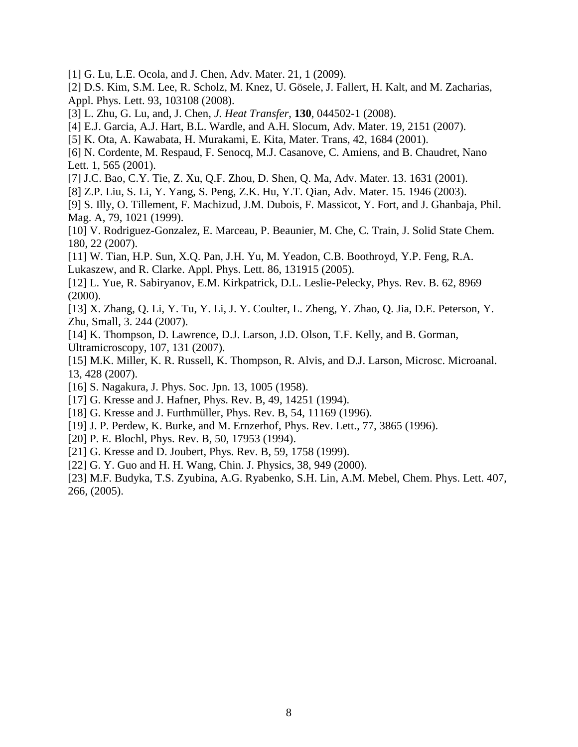- [1] G. Lu, L.E. Ocola, and J. Chen, Adv. Mater. 21, 1 (2009).
- [2] D.S. Kim, S.M. Lee, R. Scholz, M. Knez, U. Gösele, J. Fallert, H. Kalt, and M. Zacharias, Appl. Phys. Lett. 93, 103108 (2008).
- [3] L. Zhu, G. Lu, and, J. Chen, *J. Heat Transfer*, **130**, 044502-1 (2008).
- [4] E.J. Garcia, A.J. Hart, B.L. Wardle, and A.H. Slocum, Adv. Mater. 19, 2151 (2007).
- [5] K. Ota, A. Kawabata, H. Murakami, E. Kita, Mater. Trans, 42, 1684 (2001).
- [6] N. Cordente, M. Respaud, F. Senocq, M.J. Casanove, C. Amiens, and B. Chaudret, Nano Lett. 1, 565 (2001).
- [7] J.C. Bao, C.Y. Tie, Z. Xu, Q.F. Zhou, D. Shen, Q. Ma, Adv. Mater. 13. 1631 (2001).
- [8] Z.P. Liu, S. Li, Y. Yang, S. Peng, Z.K. Hu, Y.T. Qian, Adv. Mater. 15. 1946 (2003).
- [9] S. Illy, O. Tillement, F. Machizud, J.M. Dubois, F. Massicot, Y. Fort, and J. Ghanbaja, Phil. Mag. A, 79, 1021 (1999).
- [10] V. Rodriguez-Gonzalez, E. Marceau, P. Beaunier, M. Che, C. Train, J. Solid State Chem. 180, 22 (2007).
- [11] W. Tian, H.P. Sun, X.Q. Pan, J.H. Yu, M. Yeadon, C.B. Boothroyd, Y.P. Feng, R.A. Lukaszew, and R. Clarke. Appl. Phys. Lett. 86, 131915 (2005).
- [12] L. Yue, R. Sabiryanov, E.M. Kirkpatrick, D.L. Leslie-Pelecky, Phys. Rev. B. 62, 8969 (2000).
- [13] X. Zhang, Q. Li, Y. Tu, Y. Li, J. Y. Coulter, L. Zheng, Y. Zhao, Q. Jia, D.E. Peterson, Y. Zhu, Small, 3. 244 (2007).
- [14] K. Thompson, D. Lawrence, D.J. Larson, J.D. Olson, T.F. Kelly, and B. Gorman, Ultramicroscopy, 107, 131 (2007).
- [15] M.K. Miller, K. R. Russell, K. Thompson, R. Alvis, and D.J. Larson, Microsc. Microanal. 13, 428 (2007).
- [16] S. Nagakura, J. Phys. Soc. Jpn. 13, 1005 (1958).
- [17] G. Kresse and J. Hafner, Phys. Rev. B, 49, 14251 (1994).
- [18] G. Kresse and J. Furthmüller, Phys. Rev. B, 54, 11169 (1996).
- [19] J. P. Perdew, K. Burke, and M. Ernzerhof, Phys. Rev. Lett., 77, 3865 (1996).
- [20] P. E. Blochl, Phys. Rev. B, 50, 17953 (1994).
- [21] G. Kresse and D. Joubert, Phys. Rev. B, 59, 1758 (1999).
- [22] G. Y. Guo and H. H. Wang, Chin. J. Physics, 38, 949 (2000).
- [23] M.F. Budyka, T.S. Zyubina, A.G. Ryabenko, S.H. Lin, A.M. Mebel, Chem. Phys. Lett. 407, 266, (2005).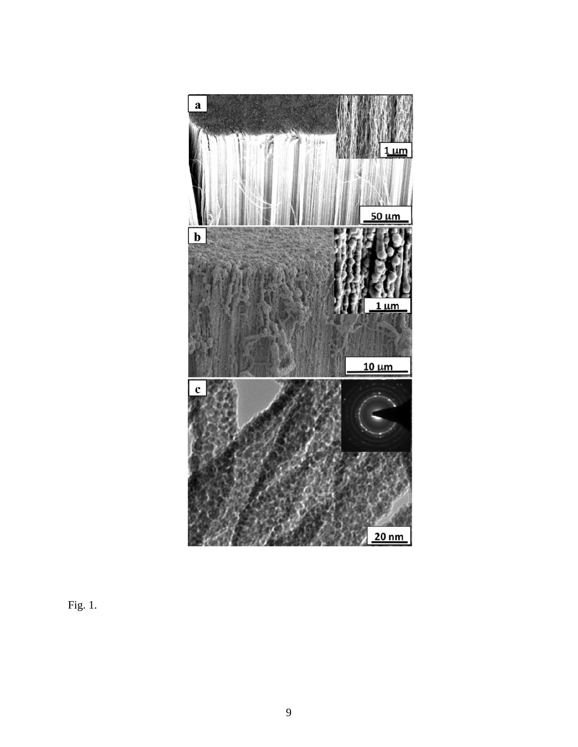

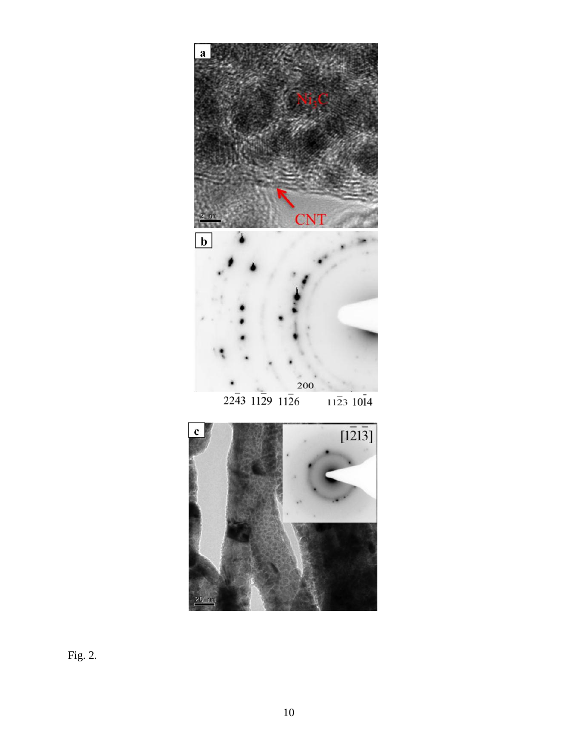



Fig. 2.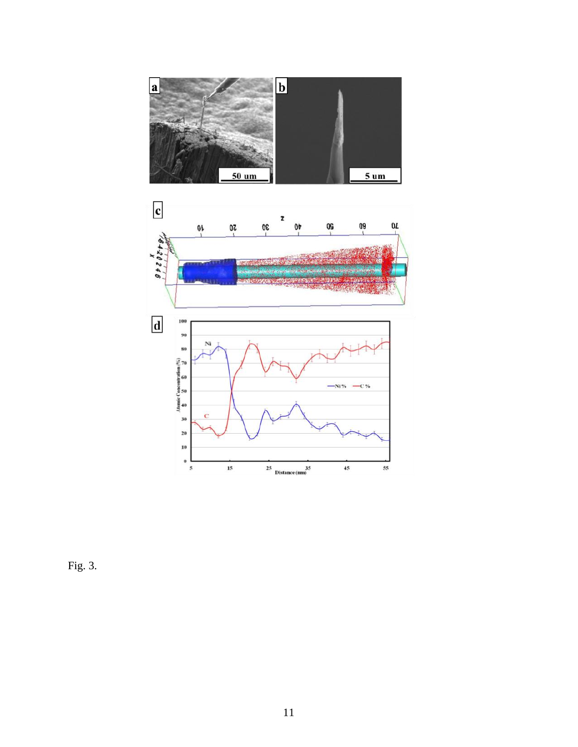



Fig. 3.